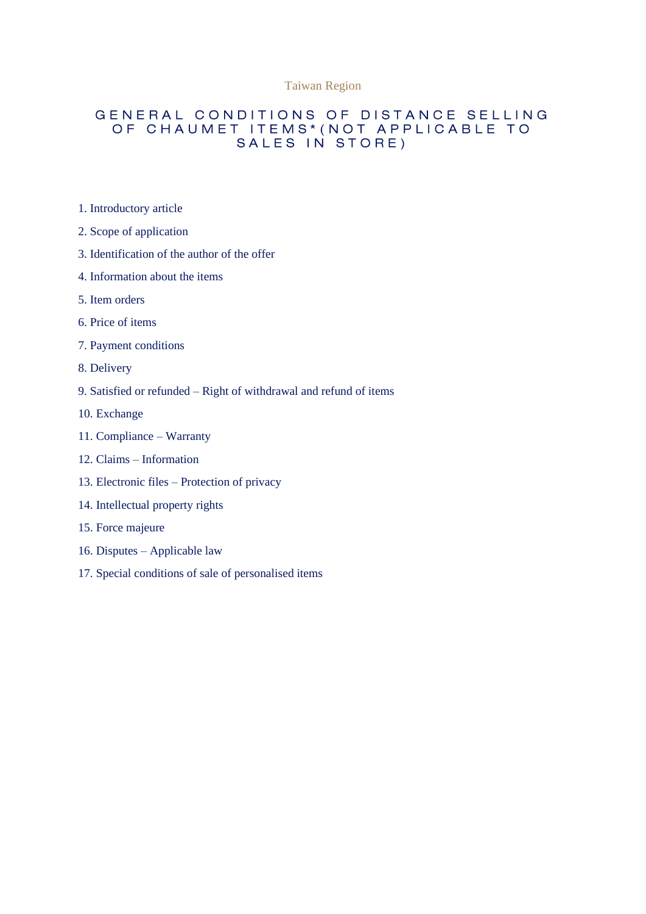#### Taiwan Region

#### GENERAL CONDITIONS OF DISTANCE SELLING OF CHAUMET ITEMS\* (NOT APPLICABLE TO SALES IN STORE)

- 1. Introductory article
- 2. Scope of application
- 3. Identification of the author of the offer
- 4. Information about the items
- 5. Item orders
- 6. Price of items
- 7. Payment conditions
- 8. Delivery
- 9. Satisfied or refunded Right of withdrawal and refund of items
- 10. Exchange
- 11. Compliance Warranty
- 12. Claims Information
- 13. Electronic files Protection of privacy
- 14. Intellectual property rights
- 15. Force majeure
- 16. Disputes Applicable law
- 17. Special conditions of sale of personalised items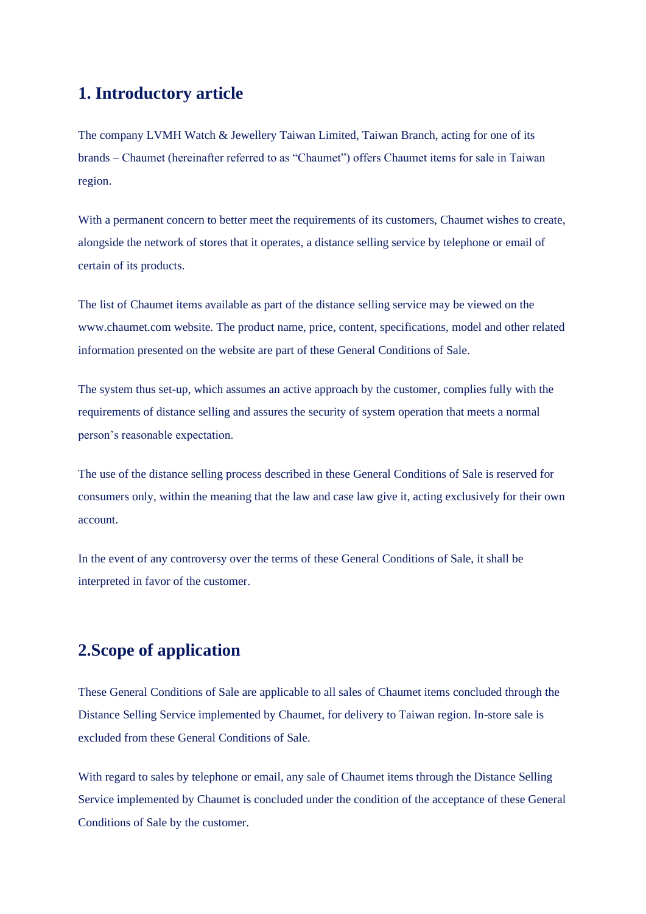## **1. Introductory article**

The company LVMH Watch & Jewellery Taiwan Limited, Taiwan Branch, acting for one of its brands – Chaumet (hereinafter referred to as "Chaumet") offers Chaumet items for sale in Taiwan region.

With a permanent concern to better meet the requirements of its customers, Chaumet wishes to create, alongside the network of stores that it operates, a distance selling service by telephone or email of certain of its products.

The list of Chaumet items available as part of the distance selling service may be viewed on the www.chaumet.com website. The product name, price, content, specifications, model and other related information presented on the website are part of these General Conditions of Sale.

The system thus set-up, which assumes an active approach by the customer, complies fully with the requirements of distance selling and assures the security of system operation that meets a normal person's reasonable expectation.

The use of the distance selling process described in these General Conditions of Sale is reserved for consumers only, within the meaning that the law and case law give it, acting exclusively for their own account.

In the event of any controversy over the terms of these General Conditions of Sale, it shall be interpreted in favor of the customer.

# **2.Scope of application**

These General Conditions of Sale are applicable to all sales of Chaumet items concluded through the Distance Selling Service implemented by Chaumet, for delivery to Taiwan region. In-store sale is excluded from these General Conditions of Sale.

With regard to sales by telephone or email, any sale of Chaumet items through the Distance Selling Service implemented by Chaumet is concluded under the condition of the acceptance of these General Conditions of Sale by the customer.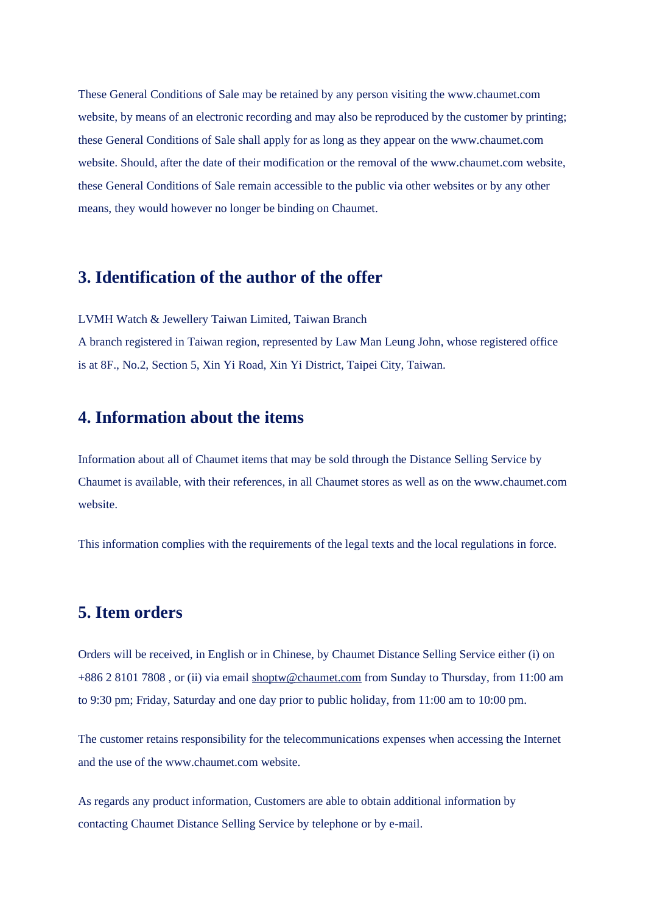These General Conditions of Sale may be retained by any person visiting the www.chaumet.com website, by means of an electronic recording and may also be reproduced by the customer by printing; these General Conditions of Sale shall apply for as long as they appear on the www.chaumet.com website. Should, after the date of their modification or the removal of the www.chaumet.com website, these General Conditions of Sale remain accessible to the public via other websites or by any other means, they would however no longer be binding on Chaumet.

#### **3. Identification of the author of the offer**

LVMH Watch & Jewellery Taiwan Limited, Taiwan Branch

A branch registered in Taiwan region, represented by Law Man Leung John, whose registered office is at 8F., No.2, Section 5, Xin Yi Road, Xin Yi District, Taipei City, Taiwan.

## **4. Information about the items**

Information about all of Chaumet items that may be sold through the Distance Selling Service by Chaumet is available, with their references, in all Chaumet stores as well as on the www.chaumet.com website.

This information complies with the requirements of the legal texts and the local regulations in force.

## **5. Item orders**

Orders will be received, in English or in Chinese, by Chaumet Distance Selling Service either (i) on +886 2 8101 7808 , or (ii) via email [shoptw@chaumet.com](mailto:shoptw@chaumet.com) from Sunday to Thursday, from 11:00 am to 9:30 pm; Friday, Saturday and one day prior to public holiday, from 11:00 am to 10:00 pm.

The customer retains responsibility for the telecommunications expenses when accessing the Internet and the use of the www.chaumet.com website.

As regards any product information, Customers are able to obtain additional information by contacting Chaumet Distance Selling Service by telephone or by e-mail.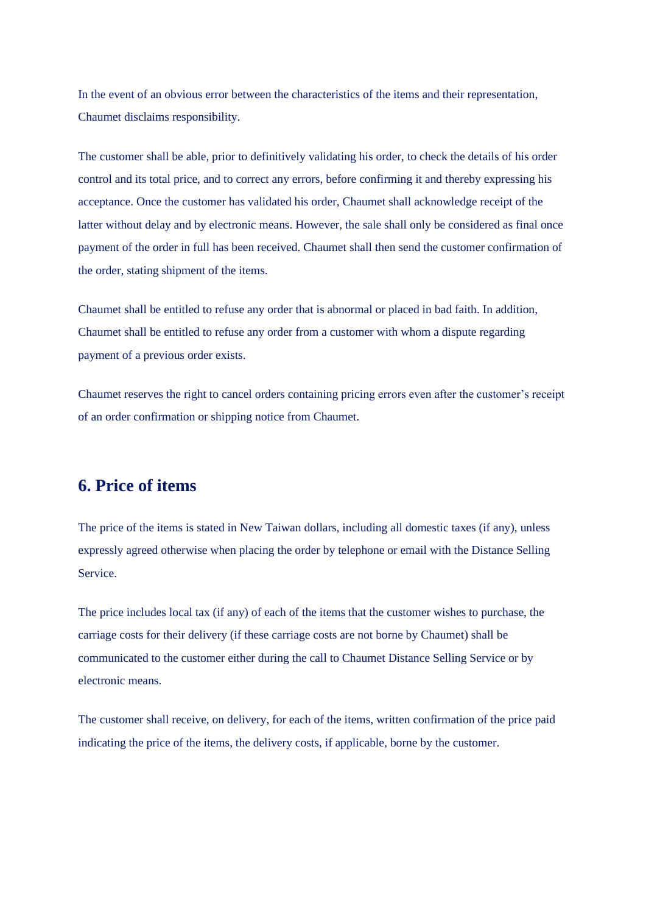In the event of an obvious error between the characteristics of the items and their representation, Chaumet disclaims responsibility.

The customer shall be able, prior to definitively validating his order, to check the details of his order control and its total price, and to correct any errors, before confirming it and thereby expressing his acceptance. Once the customer has validated his order, Chaumet shall acknowledge receipt of the latter without delay and by electronic means. However, the sale shall only be considered as final once payment of the order in full has been received. Chaumet shall then send the customer confirmation of the order, stating shipment of the items.

Chaumet shall be entitled to refuse any order that is abnormal or placed in bad faith. In addition, Chaumet shall be entitled to refuse any order from a customer with whom a dispute regarding payment of a previous order exists.

Chaumet reserves the right to cancel orders containing pricing errors even after the customer's receipt of an order confirmation or shipping notice from Chaumet.

## **6. Price of items**

The price of the items is stated in New Taiwan dollars, including all domestic taxes (if any), unless expressly agreed otherwise when placing the order by telephone or email with the Distance Selling Service.

The price includes local tax (if any) of each of the items that the customer wishes to purchase, the carriage costs for their delivery (if these carriage costs are not borne by Chaumet) shall be communicated to the customer either during the call to Chaumet Distance Selling Service or by electronic means.

The customer shall receive, on delivery, for each of the items, written confirmation of the price paid indicating the price of the items, the delivery costs, if applicable, borne by the customer.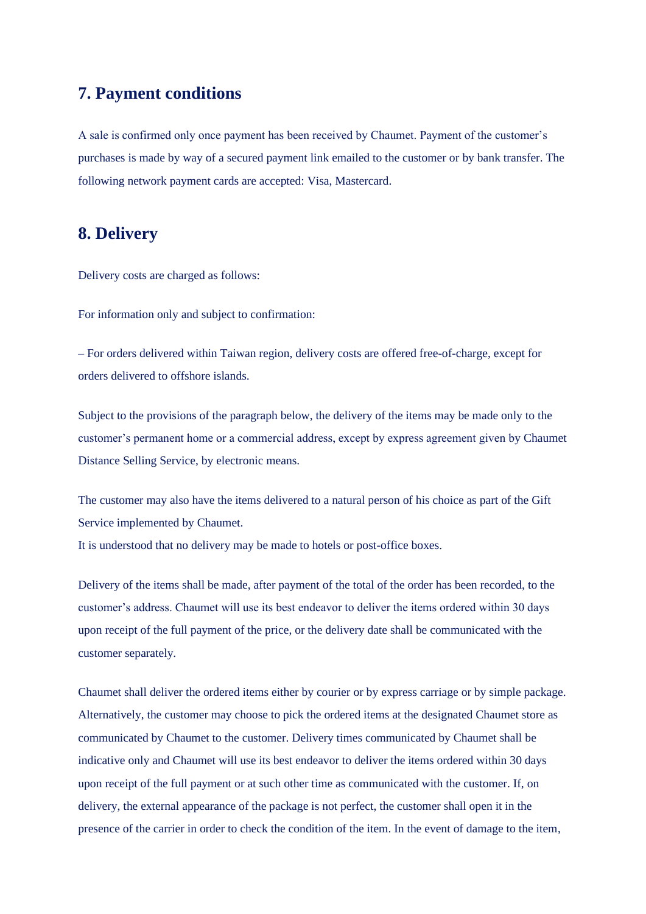## **7. Payment conditions**

A sale is confirmed only once payment has been received by Chaumet. Payment of the customer's purchases is made by way of a secured payment link emailed to the customer or by bank transfer. The following network payment cards are accepted: Visa, Mastercard.

## **8. Delivery**

Delivery costs are charged as follows:

For information only and subject to confirmation:

– For orders delivered within Taiwan region, delivery costs are offered free-of-charge, except for orders delivered to offshore islands.

Subject to the provisions of the paragraph below, the delivery of the items may be made only to the customer's permanent home or a commercial address, except by express agreement given by Chaumet Distance Selling Service, by electronic means.

The customer may also have the items delivered to a natural person of his choice as part of the Gift Service implemented by Chaumet.

It is understood that no delivery may be made to hotels or post-office boxes.

Delivery of the items shall be made, after payment of the total of the order has been recorded, to the customer's address. Chaumet will use its best endeavor to deliver the items ordered within 30 days upon receipt of the full payment of the price, or the delivery date shall be communicated with the customer separately.

Chaumet shall deliver the ordered items either by courier or by express carriage or by simple package. Alternatively, the customer may choose to pick the ordered items at the designated Chaumet store as communicated by Chaumet to the customer. Delivery times communicated by Chaumet shall be indicative only and Chaumet will use its best endeavor to deliver the items ordered within 30 days upon receipt of the full payment or at such other time as communicated with the customer. If, on delivery, the external appearance of the package is not perfect, the customer shall open it in the presence of the carrier in order to check the condition of the item. In the event of damage to the item,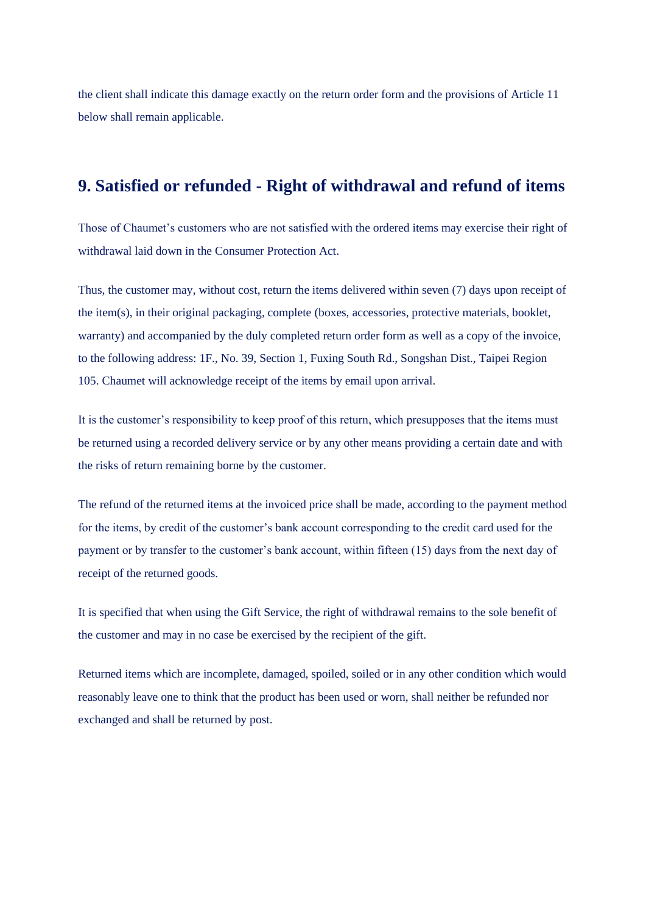the client shall indicate this damage exactly on the return order form and the provisions of Article 11 below shall remain applicable.

## **9. Satisfied or refunded - Right of withdrawal and refund of items**

Those of Chaumet's customers who are not satisfied with the ordered items may exercise their right of withdrawal laid down in the Consumer Protection Act.

Thus, the customer may, without cost, return the items delivered within seven (7) days upon receipt of the item(s), in their original packaging, complete (boxes, accessories, protective materials, booklet, warranty) and accompanied by the duly completed return order form as well as a copy of the invoice, to the following address: 1F., No. 39, Section 1, Fuxing South Rd., Songshan Dist., Taipei Region 105. Chaumet will acknowledge receipt of the items by email upon arrival.

It is the customer's responsibility to keep proof of this return, which presupposes that the items must be returned using a recorded delivery service or by any other means providing a certain date and with the risks of return remaining borne by the customer.

The refund of the returned items at the invoiced price shall be made, according to the payment method for the items, by credit of the customer's bank account corresponding to the credit card used for the payment or by transfer to the customer's bank account, within fifteen (15) days from the next day of receipt of the returned goods.

It is specified that when using the Gift Service, the right of withdrawal remains to the sole benefit of the customer and may in no case be exercised by the recipient of the gift.

Returned items which are incomplete, damaged, spoiled, soiled or in any other condition which would reasonably leave one to think that the product has been used or worn, shall neither be refunded nor exchanged and shall be returned by post.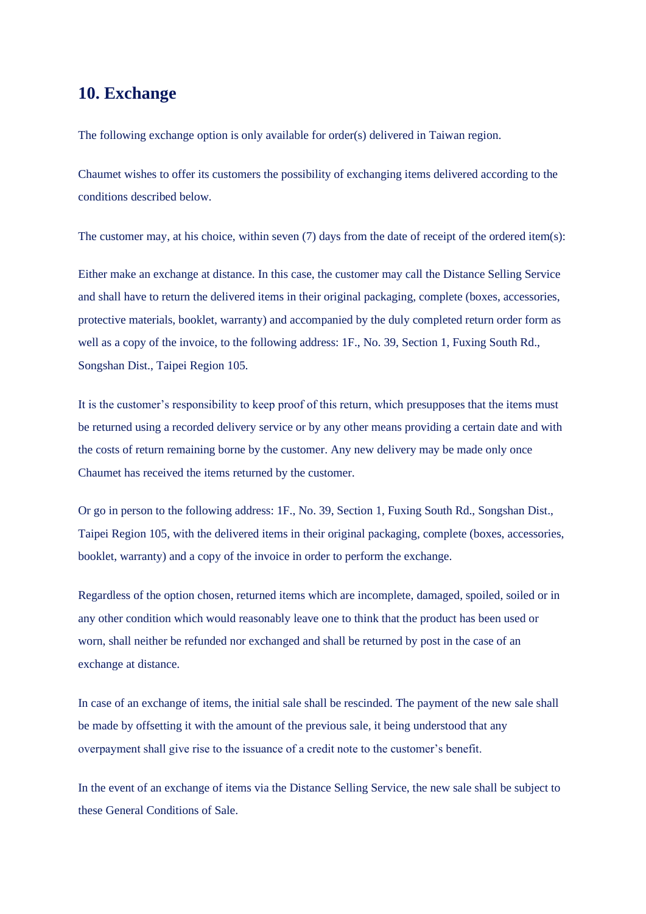### **10. Exchange**

The following exchange option is only available for order(s) delivered in Taiwan region.

Chaumet wishes to offer its customers the possibility of exchanging items delivered according to the conditions described below.

The customer may, at his choice, within seven (7) days from the date of receipt of the ordered item(s):

Either make an exchange at distance. In this case, the customer may call the Distance Selling Service and shall have to return the delivered items in their original packaging, complete (boxes, accessories, protective materials, booklet, warranty) and accompanied by the duly completed return order form as well as a copy of the invoice, to the following address: 1F., No. 39, Section 1, Fuxing South Rd., Songshan Dist., Taipei Region 105.

It is the customer's responsibility to keep proof of this return, which presupposes that the items must be returned using a recorded delivery service or by any other means providing a certain date and with the costs of return remaining borne by the customer. Any new delivery may be made only once Chaumet has received the items returned by the customer.

Or go in person to the following address: 1F., No. 39, Section 1, Fuxing South Rd., Songshan Dist., Taipei Region 105, with the delivered items in their original packaging, complete (boxes, accessories, booklet, warranty) and a copy of the invoice in order to perform the exchange.

Regardless of the option chosen, returned items which are incomplete, damaged, spoiled, soiled or in any other condition which would reasonably leave one to think that the product has been used or worn, shall neither be refunded nor exchanged and shall be returned by post in the case of an exchange at distance.

In case of an exchange of items, the initial sale shall be rescinded. The payment of the new sale shall be made by offsetting it with the amount of the previous sale, it being understood that any overpayment shall give rise to the issuance of a credit note to the customer's benefit.

In the event of an exchange of items via the Distance Selling Service, the new sale shall be subject to these General Conditions of Sale.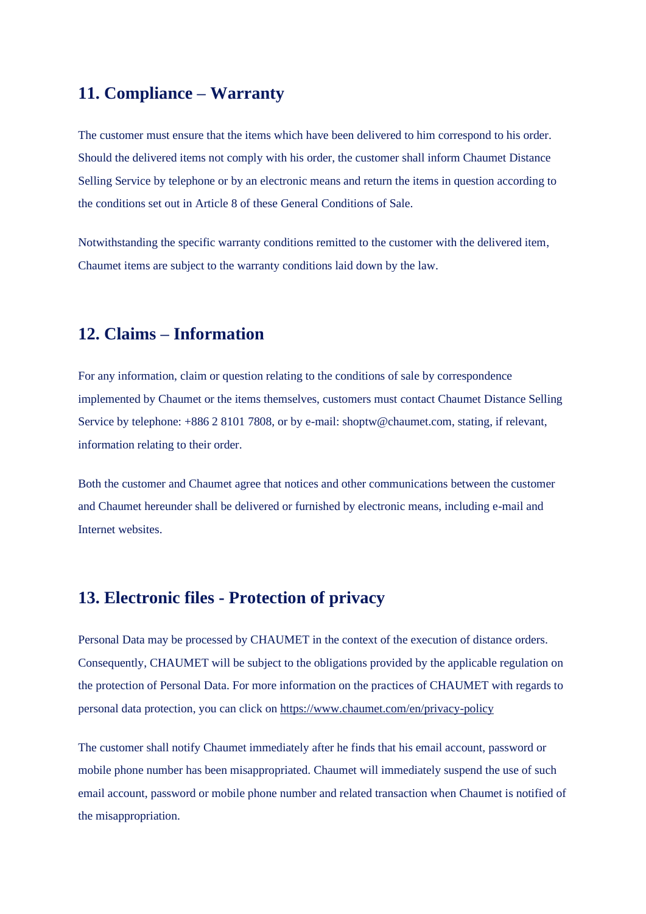# **11. Compliance – Warranty**

The customer must ensure that the items which have been delivered to him correspond to his order. Should the delivered items not comply with his order, the customer shall inform Chaumet Distance Selling Service by telephone or by an electronic means and return the items in question according to the conditions set out in Article 8 of these General Conditions of Sale.

Notwithstanding the specific warranty conditions remitted to the customer with the delivered item, Chaumet items are subject to the warranty conditions laid down by the law.

# **12. Claims – Information**

For any information, claim or question relating to the conditions of sale by correspondence implemented by Chaumet or the items themselves, customers must contact Chaumet Distance Selling Service by telephone: +886 2 8101 7808, or by e-mail: shoptw@chaumet.com, stating, if relevant, information relating to their order.

Both the customer and Chaumet agree that notices and other communications between the customer and Chaumet hereunder shall be delivered or furnished by electronic means, including e-mail and Internet websites.

## **13. Electronic files - Protection of privacy**

Personal Data may be processed by CHAUMET in the context of the execution of distance orders. Consequently, CHAUMET will be subject to the obligations provided by the applicable regulation on the protection of Personal Data. For more information on the practices of CHAUMET with regards to personal data protection, you can click on <https://www.chaumet.com/en/privacy-policy>

The customer shall notify Chaumet immediately after he finds that his email account, password or mobile phone number has been misappropriated. Chaumet will immediately suspend the use of such email account, password or mobile phone number and related transaction when Chaumet is notified of the misappropriation.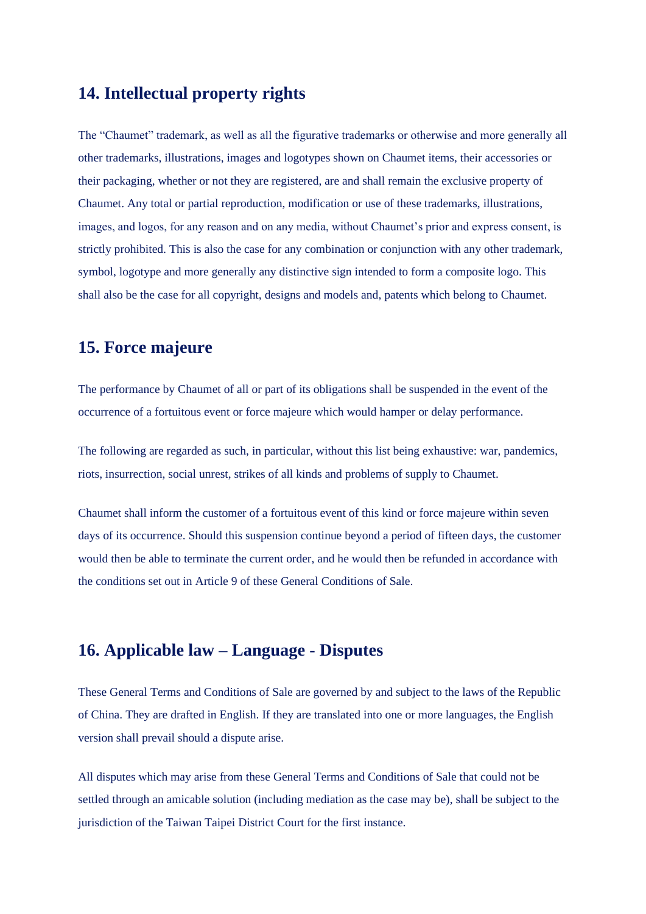## **14. Intellectual property rights**

The "Chaumet" trademark, as well as all the figurative trademarks or otherwise and more generally all other trademarks, illustrations, images and logotypes shown on Chaumet items, their accessories or their packaging, whether or not they are registered, are and shall remain the exclusive property of Chaumet. Any total or partial reproduction, modification or use of these trademarks, illustrations, images, and logos, for any reason and on any media, without Chaumet's prior and express consent, is strictly prohibited. This is also the case for any combination or conjunction with any other trademark, symbol, logotype and more generally any distinctive sign intended to form a composite logo. This shall also be the case for all copyright, designs and models and, patents which belong to Chaumet.

## **15. Force majeure**

The performance by Chaumet of all or part of its obligations shall be suspended in the event of the occurrence of a fortuitous event or force majeure which would hamper or delay performance.

The following are regarded as such, in particular, without this list being exhaustive: war, pandemics, riots, insurrection, social unrest, strikes of all kinds and problems of supply to Chaumet.

Chaumet shall inform the customer of a fortuitous event of this kind or force majeure within seven days of its occurrence. Should this suspension continue beyond a period of fifteen days, the customer would then be able to terminate the current order, and he would then be refunded in accordance with the conditions set out in Article 9 of these General Conditions of Sale.

#### **16. Applicable law – Language - Disputes**

These General Terms and Conditions of Sale are governed by and subject to the laws of the Republic of China. They are drafted in English. If they are translated into one or more languages, the English version shall prevail should a dispute arise.

All disputes which may arise from these General Terms and Conditions of Sale that could not be settled through an amicable solution (including mediation as the case may be), shall be subject to the jurisdiction of the Taiwan Taipei District Court for the first instance.